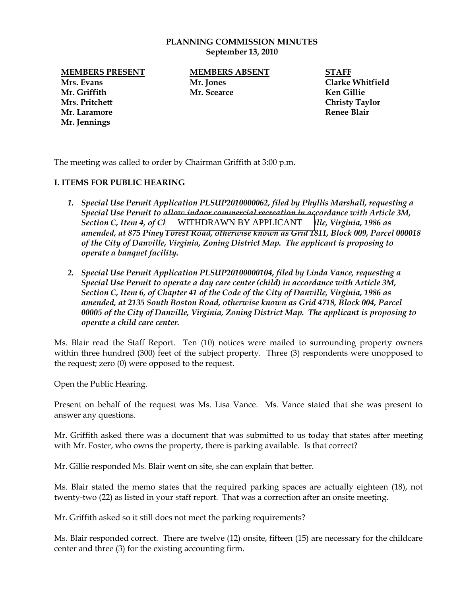#### **PLANNING COMMISSION MINUTES September 13, 2010**

**Mrs. Evans Mr. Jones Clarke Whitfield Mr. Griffith Mr. Scearce Ken Gillie Mrs. Pritchett Christy Taylor Mr. Laramore Renee Blair Mr. Jennings**

# **MEMBERS PRESENT MEMBERS ABSENT STAFF**

The meeting was called to order by Chairman Griffith at 3:00 p.m.

### **I. ITEMS FOR PUBLIC HEARING**

- *1. Special Use Permit Application PLSUP2010000062, filed by Phyllis Marshall, requesting a Special Use Permit to allow indoor commercial recreation in accordance with Article 3M,*  Section C, Item 4, of C<sub>l</sub> WITHDRAWN BY APPLICANT [ile, Virginia, 1986 as *amended, at 875 Piney Forest Road, otherwise known as Grid 1811, Block 009, Parcel 000018 of the City of Danville, Virginia, Zoning District Map. The applicant is proposing to operate a banquet facility.*
- *2. Special Use Permit Application PLSUP20100000104, filed by Linda Vance, requesting a Special Use Permit to operate a day care center (child) in accordance with Article 3M, Section C, Item 6, of Chapter 41 of the Code of the City of Danville, Virginia, 1986 as amended, at 2135 South Boston Road, otherwise known as Grid 4718, Block 004, Parcel 00005 of the City of Danville, Virginia, Zoning District Map. The applicant is proposing to operate a child care center.*

Ms. Blair read the Staff Report. Ten (10) notices were mailed to surrounding property owners within three hundred (300) feet of the subject property. Three (3) respondents were unopposed to the request; zero (0) were opposed to the request.

Open the Public Hearing.

Present on behalf of the request was Ms. Lisa Vance. Ms. Vance stated that she was present to answer any questions.

Mr. Griffith asked there was a document that was submitted to us today that states after meeting with Mr. Foster, who owns the property, there is parking available. Is that correct?

Mr. Gillie responded Ms. Blair went on site, she can explain that better.

Ms. Blair stated the memo states that the required parking spaces are actually eighteen (18), not twenty-two (22) as listed in your staff report. That was a correction after an onsite meeting.

Mr. Griffith asked so it still does not meet the parking requirements?

Ms. Blair responded correct. There are twelve (12) onsite, fifteen (15) are necessary for the childcare center and three (3) for the existing accounting firm.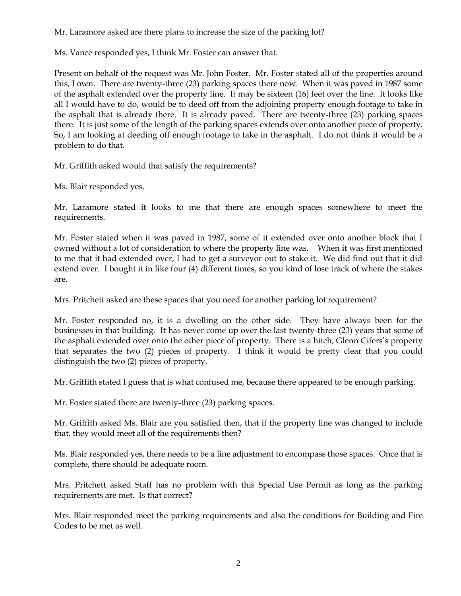Mr. Laramore asked are there plans to increase the size of the parking lot?

Ms. Vance responded yes, I think Mr. Foster can answer that.

Present on behalf of the request was Mr. John Foster. Mr. Foster stated all of the properties around this, I own. There are twenty-three (23) parking spaces there now. When it was paved in 1987 some of the asphalt extended over the property line. It may be sixteen (16) feet over the line. It looks like all I would have to do, would be to deed off from the adjoining property enough footage to take in the asphalt that is already there. It is already paved. There are twenty-three (23) parking spaces there. It is just some of the length of the parking spaces extends over onto another piece of property. So, I am looking at deeding off enough footage to take in the asphalt. I do not think it would be a problem to do that.

Mr. Griffith asked would that satisfy the requirements?

Ms. Blair responded yes.

Mr. Laramore stated it looks to me that there are enough spaces somewhere to meet the requirements.

Mr. Foster stated when it was paved in 1987, some of it extended over onto another block that I owned without a lot of consideration to where the property line was. When it was first mentioned to me that it had extended over, I had to get a surveyor out to stake it. We did find out that it did extend over. I bought it in like four (4) different times, so you kind of lose track of where the stakes are.

Mrs. Pritchett asked are these spaces that you need for another parking lot requirement?

Mr. Foster responded no, it is a dwelling on the other side. They have always been for the businesses in that building. It has never come up over the last twenty-three (23) years that some of the asphalt extended over onto the other piece of property. There is a hitch, Glenn Cifers's property that separates the two (2) pieces of property. I think it would be pretty clear that you could distinguish the two (2) pieces of property.

Mr. Griffith stated I guess that is what confused me, because there appeared to be enough parking.

Mr. Foster stated there are twenty-three (23) parking spaces.

Mr. Griffith asked Ms. Blair are you satisfied then, that if the property line was changed to include that, they would meet all of the requirements then?

Ms. Blair responded yes, there needs to be a line adjustment to encompass those spaces. Once that is complete, there should be adequate room.

Mrs. Pritchett asked Staff has no problem with this Special Use Permit as long as the parking requirements are met. Is that correct?

Mrs. Blair responded meet the parking requirements and also the conditions for Building and Fire Codes to be met as well.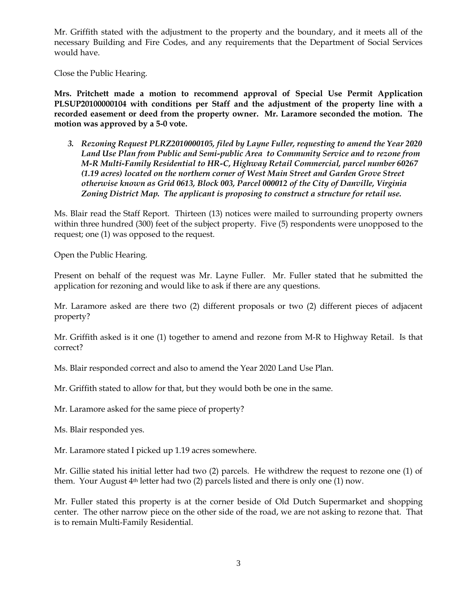Mr. Griffith stated with the adjustment to the property and the boundary, and it meets all of the necessary Building and Fire Codes, and any requirements that the Department of Social Services would have.

Close the Public Hearing.

**Mrs. Pritchett made a motion to recommend approval of Special Use Permit Application PLSUP20100000104 with conditions per Staff and the adjustment of the property line with a recorded easement or deed from the property owner. Mr. Laramore seconded the motion. The motion was approved by a 5-0 vote.** 

*3. Rezoning Request PLRZ2010000105, filed by Layne Fuller, requesting to amend the Year 2020 Land Use Plan from Public and Semi-public Area to Community Service and to rezone from M-R Multi-Family Residential to HR-C, Highway Retail Commercial, parcel number 60267 (1.19 acres) located on the northern corner of West Main Street and Garden Grove Street otherwise known as Grid 0613, Block 003, Parcel 000012 of the City of Danville, Virginia Zoning District Map. The applicant is proposing to construct a structure for retail use.*

Ms. Blair read the Staff Report. Thirteen (13) notices were mailed to surrounding property owners within three hundred (300) feet of the subject property. Five (5) respondents were unopposed to the request; one (1) was opposed to the request.

Open the Public Hearing.

Present on behalf of the request was Mr. Layne Fuller. Mr. Fuller stated that he submitted the application for rezoning and would like to ask if there are any questions.

Mr. Laramore asked are there two (2) different proposals or two (2) different pieces of adjacent property?

Mr. Griffith asked is it one (1) together to amend and rezone from M-R to Highway Retail. Is that correct?

Ms. Blair responded correct and also to amend the Year 2020 Land Use Plan.

Mr. Griffith stated to allow for that, but they would both be one in the same.

Mr. Laramore asked for the same piece of property?

Ms. Blair responded yes.

Mr. Laramore stated I picked up 1.19 acres somewhere.

Mr. Gillie stated his initial letter had two (2) parcels. He withdrew the request to rezone one (1) of them. Your August  $4<sup>th</sup>$  letter had two (2) parcels listed and there is only one (1) now.

Mr. Fuller stated this property is at the corner beside of Old Dutch Supermarket and shopping center. The other narrow piece on the other side of the road, we are not asking to rezone that. That is to remain Multi-Family Residential.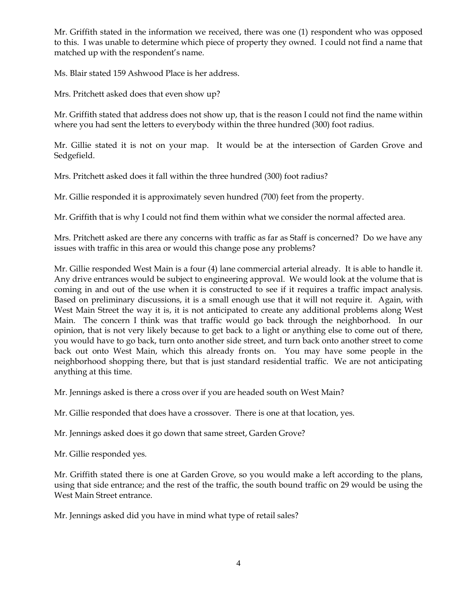Mr. Griffith stated in the information we received, there was one (1) respondent who was opposed to this. I was unable to determine which piece of property they owned. I could not find a name that matched up with the respondent's name.

Ms. Blair stated 159 Ashwood Place is her address.

Mrs. Pritchett asked does that even show up?

Mr. Griffith stated that address does not show up, that is the reason I could not find the name within where you had sent the letters to everybody within the three hundred (300) foot radius.

Mr. Gillie stated it is not on your map. It would be at the intersection of Garden Grove and Sedgefield.

Mrs. Pritchett asked does it fall within the three hundred (300) foot radius?

Mr. Gillie responded it is approximately seven hundred (700) feet from the property.

Mr. Griffith that is why I could not find them within what we consider the normal affected area.

Mrs. Pritchett asked are there any concerns with traffic as far as Staff is concerned? Do we have any issues with traffic in this area or would this change pose any problems?

Mr. Gillie responded West Main is a four (4) lane commercial arterial already. It is able to handle it. Any drive entrances would be subject to engineering approval. We would look at the volume that is coming in and out of the use when it is constructed to see if it requires a traffic impact analysis. Based on preliminary discussions, it is a small enough use that it will not require it. Again, with West Main Street the way it is, it is not anticipated to create any additional problems along West Main. The concern I think was that traffic would go back through the neighborhood. In our opinion, that is not very likely because to get back to a light or anything else to come out of there, you would have to go back, turn onto another side street, and turn back onto another street to come back out onto West Main, which this already fronts on. You may have some people in the neighborhood shopping there, but that is just standard residential traffic. We are not anticipating anything at this time.

Mr. Jennings asked is there a cross over if you are headed south on West Main?

Mr. Gillie responded that does have a crossover. There is one at that location, yes.

Mr. Jennings asked does it go down that same street, Garden Grove?

Mr. Gillie responded yes.

Mr. Griffith stated there is one at Garden Grove, so you would make a left according to the plans, using that side entrance; and the rest of the traffic, the south bound traffic on 29 would be using the West Main Street entrance.

Mr. Jennings asked did you have in mind what type of retail sales?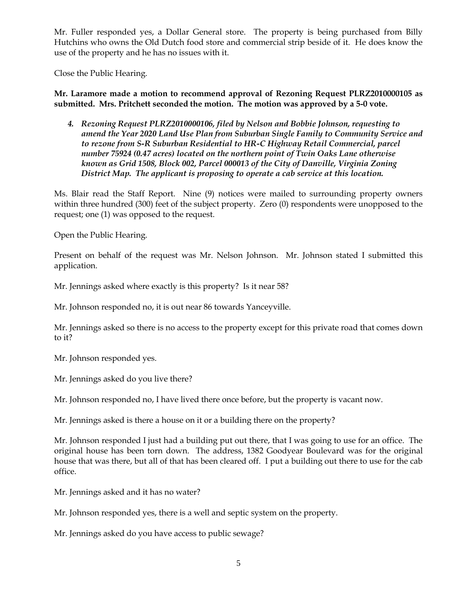Mr. Fuller responded yes, a Dollar General store. The property is being purchased from Billy Hutchins who owns the Old Dutch food store and commercial strip beside of it. He does know the use of the property and he has no issues with it.

Close the Public Hearing.

**Mr. Laramore made a motion to recommend approval of Rezoning Request PLRZ2010000105 as submitted. Mrs. Pritchett seconded the motion. The motion was approved by a 5-0 vote.** 

*4. Rezoning Request PLRZ2010000106, filed by Nelson and Bobbie Johnson, requesting to amend the Year 2020 Land Use Plan from Suburban Single Family to Community Service and to rezone from S-R Suburban Residential to HR-C Highway Retail Commercial, parcel number 75924 (0.47 acres) located on the northern point of Twin Oaks Lane otherwise known as Grid 1508, Block 002, Parcel 000013 of the City of Danville, Virginia Zoning District Map. The applicant is proposing to operate a cab service at this location.*

Ms. Blair read the Staff Report. Nine (9) notices were mailed to surrounding property owners within three hundred (300) feet of the subject property. Zero (0) respondents were unopposed to the request; one (1) was opposed to the request.

Open the Public Hearing.

Present on behalf of the request was Mr. Nelson Johnson. Mr. Johnson stated I submitted this application.

Mr. Jennings asked where exactly is this property? Is it near 58?

Mr. Johnson responded no, it is out near 86 towards Yanceyville.

Mr. Jennings asked so there is no access to the property except for this private road that comes down to it?

Mr. Johnson responded yes.

Mr. Jennings asked do you live there?

Mr. Johnson responded no, I have lived there once before, but the property is vacant now.

Mr. Jennings asked is there a house on it or a building there on the property?

Mr. Johnson responded I just had a building put out there, that I was going to use for an office. The original house has been torn down. The address, 1382 Goodyear Boulevard was for the original house that was there, but all of that has been cleared off. I put a building out there to use for the cab office.

Mr. Jennings asked and it has no water?

Mr. Johnson responded yes, there is a well and septic system on the property.

Mr. Jennings asked do you have access to public sewage?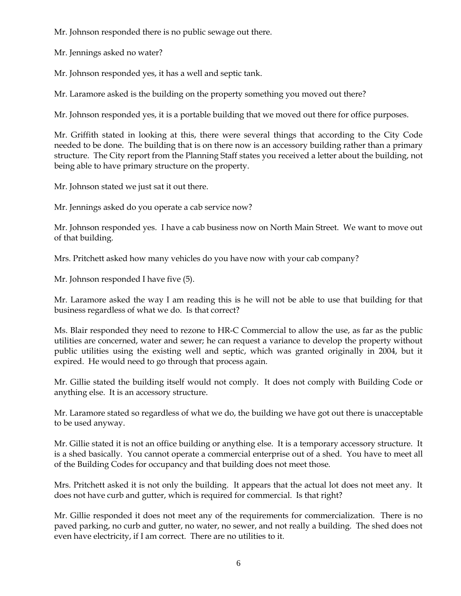Mr. Johnson responded there is no public sewage out there.

Mr. Jennings asked no water?

Mr. Johnson responded yes, it has a well and septic tank.

Mr. Laramore asked is the building on the property something you moved out there?

Mr. Johnson responded yes, it is a portable building that we moved out there for office purposes.

Mr. Griffith stated in looking at this, there were several things that according to the City Code needed to be done. The building that is on there now is an accessory building rather than a primary structure. The City report from the Planning Staff states you received a letter about the building, not being able to have primary structure on the property.

Mr. Johnson stated we just sat it out there.

Mr. Jennings asked do you operate a cab service now?

Mr. Johnson responded yes. I have a cab business now on North Main Street. We want to move out of that building.

Mrs. Pritchett asked how many vehicles do you have now with your cab company?

Mr. Johnson responded I have five (5).

Mr. Laramore asked the way I am reading this is he will not be able to use that building for that business regardless of what we do. Is that correct?

Ms. Blair responded they need to rezone to HR-C Commercial to allow the use, as far as the public utilities are concerned, water and sewer; he can request a variance to develop the property without public utilities using the existing well and septic, which was granted originally in 2004, but it expired. He would need to go through that process again.

Mr. Gillie stated the building itself would not comply. It does not comply with Building Code or anything else. It is an accessory structure.

Mr. Laramore stated so regardless of what we do, the building we have got out there is unacceptable to be used anyway.

Mr. Gillie stated it is not an office building or anything else. It is a temporary accessory structure. It is a shed basically. You cannot operate a commercial enterprise out of a shed. You have to meet all of the Building Codes for occupancy and that building does not meet those.

Mrs. Pritchett asked it is not only the building. It appears that the actual lot does not meet any. It does not have curb and gutter, which is required for commercial. Is that right?

Mr. Gillie responded it does not meet any of the requirements for commercialization. There is no paved parking, no curb and gutter, no water, no sewer, and not really a building. The shed does not even have electricity, if I am correct. There are no utilities to it.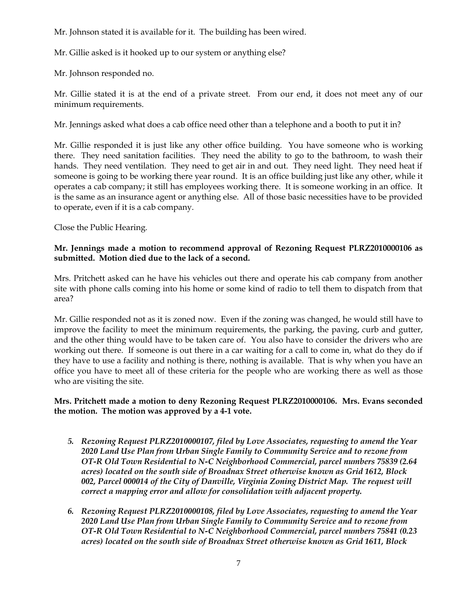Mr. Johnson stated it is available for it. The building has been wired.

Mr. Gillie asked is it hooked up to our system or anything else?

Mr. Johnson responded no.

Mr. Gillie stated it is at the end of a private street. From our end, it does not meet any of our minimum requirements.

Mr. Jennings asked what does a cab office need other than a telephone and a booth to put it in?

Mr. Gillie responded it is just like any other office building. You have someone who is working there. They need sanitation facilities. They need the ability to go to the bathroom, to wash their hands. They need ventilation. They need to get air in and out. They need light. They need heat if someone is going to be working there year round. It is an office building just like any other, while it operates a cab company; it still has employees working there. It is someone working in an office. It is the same as an insurance agent or anything else. All of those basic necessities have to be provided to operate, even if it is a cab company.

Close the Public Hearing.

## **Mr. Jennings made a motion to recommend approval of Rezoning Request PLRZ2010000106 as submitted. Motion died due to the lack of a second.**

Mrs. Pritchett asked can he have his vehicles out there and operate his cab company from another site with phone calls coming into his home or some kind of radio to tell them to dispatch from that area?

Mr. Gillie responded not as it is zoned now. Even if the zoning was changed, he would still have to improve the facility to meet the minimum requirements, the parking, the paving, curb and gutter, and the other thing would have to be taken care of. You also have to consider the drivers who are working out there. If someone is out there in a car waiting for a call to come in, what do they do if they have to use a facility and nothing is there, nothing is available. That is why when you have an office you have to meet all of these criteria for the people who are working there as well as those who are visiting the site.

# **Mrs. Pritchett made a motion to deny Rezoning Request PLRZ2010000106. Mrs. Evans seconded the motion. The motion was approved by a 4-1 vote.**

- *5. Rezoning Request PLRZ2010000107, filed by Love Associates, requesting to amend the Year 2020 Land Use Plan from Urban Single Family to Community Service and to rezone from OT-R Old Town Residential to N-C Neighborhood Commercial, parcel numbers 75839 (2.64 acres) located on the south side of Broadnax Street otherwise known as Grid 1612, Block 002, Parcel 000014 of the City of Danville, Virginia Zoning District Map. The request will correct a mapping error and allow for consolidation with adjacent property.*
- *6. Rezoning Request PLRZ2010000108, filed by Love Associates, requesting to amend the Year 2020 Land Use Plan from Urban Single Family to Community Service and to rezone from OT-R Old Town Residential to N-C Neighborhood Commercial, parcel numbers 75841 (0.23 acres) located on the south side of Broadnax Street otherwise known as Grid 1611, Block*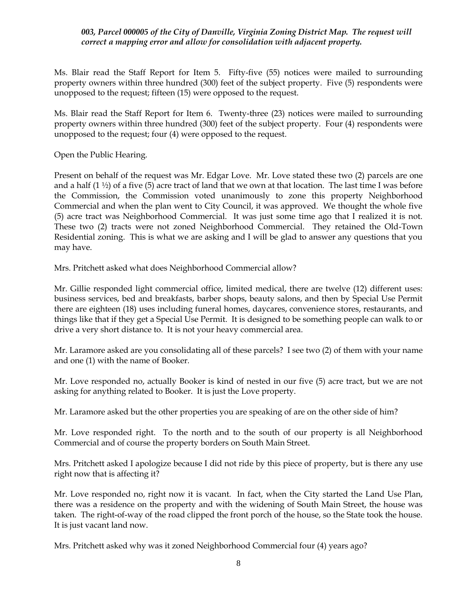## *003, Parcel 000005 of the City of Danville, Virginia Zoning District Map. The request will correct a mapping error and allow for consolidation with adjacent property.*

Ms. Blair read the Staff Report for Item 5. Fifty-five (55) notices were mailed to surrounding property owners within three hundred (300) feet of the subject property. Five (5) respondents were unopposed to the request; fifteen (15) were opposed to the request.

Ms. Blair read the Staff Report for Item 6. Twenty-three (23) notices were mailed to surrounding property owners within three hundred (300) feet of the subject property. Four (4) respondents were unopposed to the request; four (4) were opposed to the request.

Open the Public Hearing.

Present on behalf of the request was Mr. Edgar Love. Mr. Love stated these two (2) parcels are one and a half  $(1 \frac{1}{2})$  of a five  $(5)$  acre tract of land that we own at that location. The last time I was before the Commission, the Commission voted unanimously to zone this property Neighborhood Commercial and when the plan went to City Council, it was approved. We thought the whole five (5) acre tract was Neighborhood Commercial. It was just some time ago that I realized it is not. These two (2) tracts were not zoned Neighborhood Commercial. They retained the Old-Town Residential zoning. This is what we are asking and I will be glad to answer any questions that you may have.

Mrs. Pritchett asked what does Neighborhood Commercial allow?

Mr. Gillie responded light commercial office, limited medical, there are twelve (12) different uses: business services, bed and breakfasts, barber shops, beauty salons, and then by Special Use Permit there are eighteen (18) uses including funeral homes, daycares, convenience stores, restaurants, and things like that if they get a Special Use Permit. It is designed to be something people can walk to or drive a very short distance to. It is not your heavy commercial area.

Mr. Laramore asked are you consolidating all of these parcels? I see two (2) of them with your name and one (1) with the name of Booker.

Mr. Love responded no, actually Booker is kind of nested in our five (5) acre tract, but we are not asking for anything related to Booker. It is just the Love property.

Mr. Laramore asked but the other properties you are speaking of are on the other side of him?

Mr. Love responded right. To the north and to the south of our property is all Neighborhood Commercial and of course the property borders on South Main Street.

Mrs. Pritchett asked I apologize because I did not ride by this piece of property, but is there any use right now that is affecting it?

Mr. Love responded no, right now it is vacant. In fact, when the City started the Land Use Plan, there was a residence on the property and with the widening of South Main Street, the house was taken. The right-of-way of the road clipped the front porch of the house, so the State took the house. It is just vacant land now.

Mrs. Pritchett asked why was it zoned Neighborhood Commercial four (4) years ago?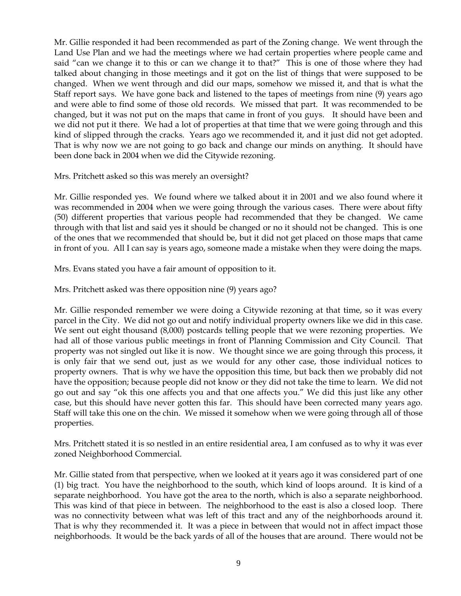Mr. Gillie responded it had been recommended as part of the Zoning change. We went through the Land Use Plan and we had the meetings where we had certain properties where people came and said "can we change it to this or can we change it to that?" This is one of those where they had talked about changing in those meetings and it got on the list of things that were supposed to be changed. When we went through and did our maps, somehow we missed it, and that is what the Staff report says. We have gone back and listened to the tapes of meetings from nine (9) years ago and were able to find some of those old records. We missed that part. It was recommended to be changed, but it was not put on the maps that came in front of you guys. It should have been and we did not put it there. We had a lot of properties at that time that we were going through and this kind of slipped through the cracks. Years ago we recommended it, and it just did not get adopted. That is why now we are not going to go back and change our minds on anything. It should have been done back in 2004 when we did the Citywide rezoning.

Mrs. Pritchett asked so this was merely an oversight?

Mr. Gillie responded yes. We found where we talked about it in 2001 and we also found where it was recommended in 2004 when we were going through the various cases. There were about fifty (50) different properties that various people had recommended that they be changed. We came through with that list and said yes it should be changed or no it should not be changed. This is one of the ones that we recommended that should be, but it did not get placed on those maps that came in front of you. All I can say is years ago, someone made a mistake when they were doing the maps.

Mrs. Evans stated you have a fair amount of opposition to it.

Mrs. Pritchett asked was there opposition nine (9) years ago?

Mr. Gillie responded remember we were doing a Citywide rezoning at that time, so it was every parcel in the City. We did not go out and notify individual property owners like we did in this case. We sent out eight thousand (8,000) postcards telling people that we were rezoning properties. We had all of those various public meetings in front of Planning Commission and City Council. That property was not singled out like it is now. We thought since we are going through this process, it is only fair that we send out, just as we would for any other case, those individual notices to property owners. That is why we have the opposition this time, but back then we probably did not have the opposition; because people did not know or they did not take the time to learn. We did not go out and say "ok this one affects you and that one affects you." We did this just like any other case, but this should have never gotten this far. This should have been corrected many years ago. Staff will take this one on the chin. We missed it somehow when we were going through all of those properties.

Mrs. Pritchett stated it is so nestled in an entire residential area, I am confused as to why it was ever zoned Neighborhood Commercial.

Mr. Gillie stated from that perspective, when we looked at it years ago it was considered part of one (1) big tract. You have the neighborhood to the south, which kind of loops around. It is kind of a separate neighborhood. You have got the area to the north, which is also a separate neighborhood. This was kind of that piece in between. The neighborhood to the east is also a closed loop. There was no connectivity between what was left of this tract and any of the neighborhoods around it. That is why they recommended it. It was a piece in between that would not in affect impact those neighborhoods. It would be the back yards of all of the houses that are around. There would not be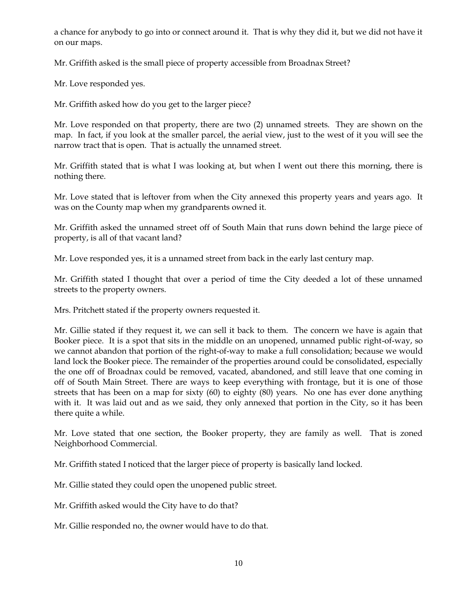a chance for anybody to go into or connect around it. That is why they did it, but we did not have it on our maps.

Mr. Griffith asked is the small piece of property accessible from Broadnax Street?

Mr. Love responded yes.

Mr. Griffith asked how do you get to the larger piece?

Mr. Love responded on that property, there are two (2) unnamed streets. They are shown on the map. In fact, if you look at the smaller parcel, the aerial view, just to the west of it you will see the narrow tract that is open. That is actually the unnamed street.

Mr. Griffith stated that is what I was looking at, but when I went out there this morning, there is nothing there.

Mr. Love stated that is leftover from when the City annexed this property years and years ago. It was on the County map when my grandparents owned it.

Mr. Griffith asked the unnamed street off of South Main that runs down behind the large piece of property, is all of that vacant land?

Mr. Love responded yes, it is a unnamed street from back in the early last century map.

Mr. Griffith stated I thought that over a period of time the City deeded a lot of these unnamed streets to the property owners.

Mrs. Pritchett stated if the property owners requested it.

Mr. Gillie stated if they request it, we can sell it back to them. The concern we have is again that Booker piece. It is a spot that sits in the middle on an unopened, unnamed public right-of-way, so we cannot abandon that portion of the right-of-way to make a full consolidation; because we would land lock the Booker piece. The remainder of the properties around could be consolidated, especially the one off of Broadnax could be removed, vacated, abandoned, and still leave that one coming in off of South Main Street. There are ways to keep everything with frontage, but it is one of those streets that has been on a map for sixty (60) to eighty (80) years. No one has ever done anything with it. It was laid out and as we said, they only annexed that portion in the City, so it has been there quite a while.

Mr. Love stated that one section, the Booker property, they are family as well. That is zoned Neighborhood Commercial.

Mr. Griffith stated I noticed that the larger piece of property is basically land locked.

Mr. Gillie stated they could open the unopened public street.

Mr. Griffith asked would the City have to do that?

Mr. Gillie responded no, the owner would have to do that.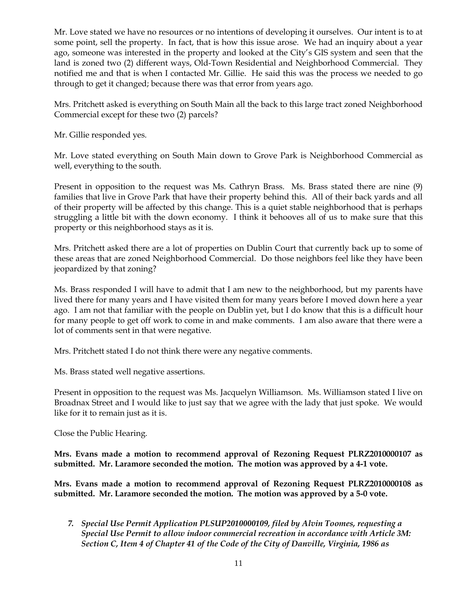Mr. Love stated we have no resources or no intentions of developing it ourselves. Our intent is to at some point, sell the property. In fact, that is how this issue arose. We had an inquiry about a year ago, someone was interested in the property and looked at the City's GIS system and seen that the land is zoned two (2) different ways, Old-Town Residential and Neighborhood Commercial. They notified me and that is when I contacted Mr. Gillie. He said this was the process we needed to go through to get it changed; because there was that error from years ago.

Mrs. Pritchett asked is everything on South Main all the back to this large tract zoned Neighborhood Commercial except for these two (2) parcels?

Mr. Gillie responded yes.

Mr. Love stated everything on South Main down to Grove Park is Neighborhood Commercial as well, everything to the south.

Present in opposition to the request was Ms. Cathryn Brass. Ms. Brass stated there are nine (9) families that live in Grove Park that have their property behind this. All of their back yards and all of their property will be affected by this change. This is a quiet stable neighborhood that is perhaps struggling a little bit with the down economy. I think it behooves all of us to make sure that this property or this neighborhood stays as it is.

Mrs. Pritchett asked there are a lot of properties on Dublin Court that currently back up to some of these areas that are zoned Neighborhood Commercial. Do those neighbors feel like they have been jeopardized by that zoning?

Ms. Brass responded I will have to admit that I am new to the neighborhood, but my parents have lived there for many years and I have visited them for many years before I moved down here a year ago. I am not that familiar with the people on Dublin yet, but I do know that this is a difficult hour for many people to get off work to come in and make comments. I am also aware that there were a lot of comments sent in that were negative.

Mrs. Pritchett stated I do not think there were any negative comments.

Ms. Brass stated well negative assertions.

Present in opposition to the request was Ms. Jacquelyn Williamson. Ms. Williamson stated I live on Broadnax Street and I would like to just say that we agree with the lady that just spoke. We would like for it to remain just as it is.

Close the Public Hearing.

**Mrs. Evans made a motion to recommend approval of Rezoning Request PLRZ2010000107 as submitted. Mr. Laramore seconded the motion. The motion was approved by a 4-1 vote.** 

**Mrs. Evans made a motion to recommend approval of Rezoning Request PLRZ2010000108 as submitted. Mr. Laramore seconded the motion. The motion was approved by a 5-0 vote.** 

*7. Special Use Permit Application PLSUP2010000109, filed by Alvin Toomes, requesting a Special Use Permit to allow indoor commercial recreation in accordance with Article 3M: Section C, Item 4 of Chapter 41 of the Code of the City of Danville, Virginia, 1986 as*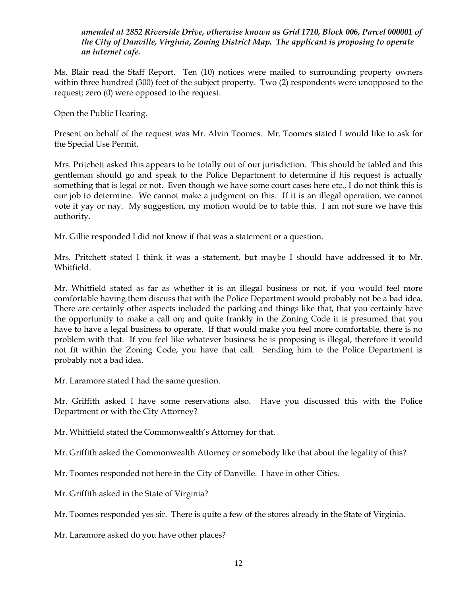*amended at 2852 Riverside Drive, otherwise known as Grid 1710, Block 006, Parcel 000001 of the City of Danville, Virginia, Zoning District Map. The applicant is proposing to operate an internet cafe.*

Ms. Blair read the Staff Report. Ten (10) notices were mailed to surrounding property owners within three hundred (300) feet of the subject property. Two (2) respondents were unopposed to the request; zero (0) were opposed to the request.

Open the Public Hearing.

Present on behalf of the request was Mr. Alvin Toomes. Mr. Toomes stated I would like to ask for the Special Use Permit.

Mrs. Pritchett asked this appears to be totally out of our jurisdiction. This should be tabled and this gentleman should go and speak to the Police Department to determine if his request is actually something that is legal or not. Even though we have some court cases here etc., I do not think this is our job to determine. We cannot make a judgment on this. If it is an illegal operation, we cannot vote it yay or nay. My suggestion, my motion would be to table this. I am not sure we have this authority.

Mr. Gillie responded I did not know if that was a statement or a question.

Mrs. Pritchett stated I think it was a statement, but maybe I should have addressed it to Mr. Whitfield.

Mr. Whitfield stated as far as whether it is an illegal business or not, if you would feel more comfortable having them discuss that with the Police Department would probably not be a bad idea. There are certainly other aspects included the parking and things like that, that you certainly have the opportunity to make a call on; and quite frankly in the Zoning Code it is presumed that you have to have a legal business to operate. If that would make you feel more comfortable, there is no problem with that. If you feel like whatever business he is proposing is illegal, therefore it would not fit within the Zoning Code, you have that call. Sending him to the Police Department is probably not a bad idea.

Mr. Laramore stated I had the same question.

Mr. Griffith asked I have some reservations also. Have you discussed this with the Police Department or with the City Attorney?

Mr. Whitfield stated the Commonwealth's Attorney for that.

Mr. Griffith asked the Commonwealth Attorney or somebody like that about the legality of this?

Mr. Toomes responded not here in the City of Danville. I have in other Cities.

Mr. Griffith asked in the State of Virginia?

Mr. Toomes responded yes sir. There is quite a few of the stores already in the State of Virginia.

Mr. Laramore asked do you have other places?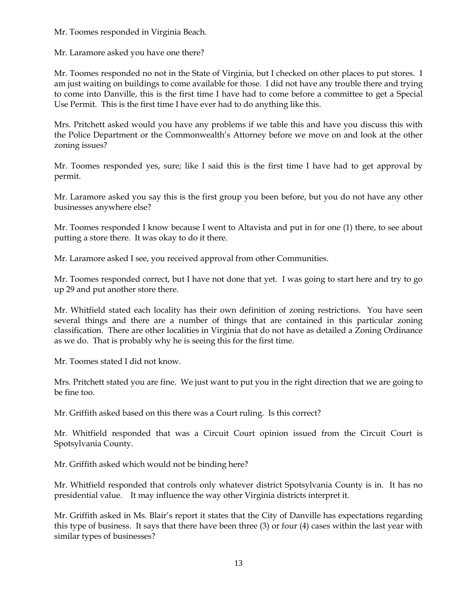Mr. Toomes responded in Virginia Beach.

Mr. Laramore asked you have one there?

Mr. Toomes responded no not in the State of Virginia, but I checked on other places to put stores. I am just waiting on buildings to come available for those. I did not have any trouble there and trying to come into Danville, this is the first time I have had to come before a committee to get a Special Use Permit. This is the first time I have ever had to do anything like this.

Mrs. Pritchett asked would you have any problems if we table this and have you discuss this with the Police Department or the Commonwealth's Attorney before we move on and look at the other zoning issues?

Mr. Toomes responded yes, sure; like I said this is the first time I have had to get approval by permit.

Mr. Laramore asked you say this is the first group you been before, but you do not have any other businesses anywhere else?

Mr. Toomes responded I know because I went to Altavista and put in for one (1) there, to see about putting a store there. It was okay to do it there.

Mr. Laramore asked I see, you received approval from other Communities.

Mr. Toomes responded correct, but I have not done that yet. I was going to start here and try to go up 29 and put another store there.

Mr. Whitfield stated each locality has their own definition of zoning restrictions. You have seen several things and there are a number of things that are contained in this particular zoning classification. There are other localities in Virginia that do not have as detailed a Zoning Ordinance as we do. That is probably why he is seeing this for the first time.

Mr. Toomes stated I did not know.

Mrs. Pritchett stated you are fine. We just want to put you in the right direction that we are going to be fine too.

Mr. Griffith asked based on this there was a Court ruling. Is this correct?

Mr. Whitfield responded that was a Circuit Court opinion issued from the Circuit Court is Spotsylvania County.

Mr. Griffith asked which would not be binding here?

Mr. Whitfield responded that controls only whatever district Spotsylvania County is in. It has no presidential value. It may influence the way other Virginia districts interpret it.

Mr. Griffith asked in Ms. Blair's report it states that the City of Danville has expectations regarding this type of business. It says that there have been three (3) or four (4) cases within the last year with similar types of businesses?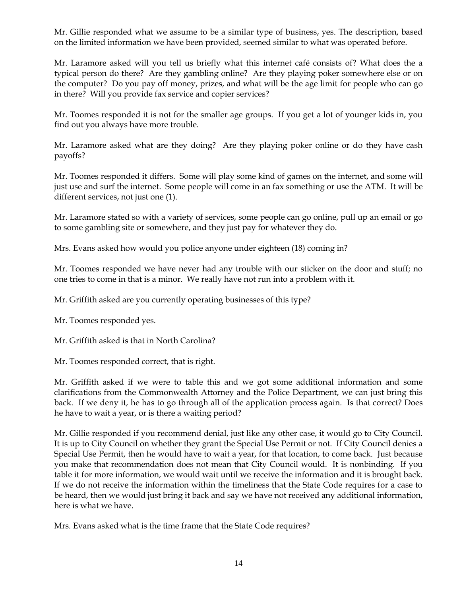Mr. Gillie responded what we assume to be a similar type of business, yes. The description, based on the limited information we have been provided, seemed similar to what was operated before.

Mr. Laramore asked will you tell us briefly what this internet café consists of? What does the a typical person do there? Are they gambling online? Are they playing poker somewhere else or on the computer? Do you pay off money, prizes, and what will be the age limit for people who can go in there? Will you provide fax service and copier services?

Mr. Toomes responded it is not for the smaller age groups. If you get a lot of younger kids in, you find out you always have more trouble.

Mr. Laramore asked what are they doing? Are they playing poker online or do they have cash payoffs?

Mr. Toomes responded it differs. Some will play some kind of games on the internet, and some will just use and surf the internet. Some people will come in an fax something or use the ATM. It will be different services, not just one (1).

Mr. Laramore stated so with a variety of services, some people can go online, pull up an email or go to some gambling site or somewhere, and they just pay for whatever they do.

Mrs. Evans asked how would you police anyone under eighteen (18) coming in?

Mr. Toomes responded we have never had any trouble with our sticker on the door and stuff; no one tries to come in that is a minor. We really have not run into a problem with it.

Mr. Griffith asked are you currently operating businesses of this type?

Mr. Toomes responded yes.

Mr. Griffith asked is that in North Carolina?

Mr. Toomes responded correct, that is right.

Mr. Griffith asked if we were to table this and we got some additional information and some clarifications from the Commonwealth Attorney and the Police Department, we can just bring this back. If we deny it, he has to go through all of the application process again. Is that correct? Does he have to wait a year, or is there a waiting period?

Mr. Gillie responded if you recommend denial, just like any other case, it would go to City Council. It is up to City Council on whether they grant the Special Use Permit or not. If City Council denies a Special Use Permit, then he would have to wait a year, for that location, to come back. Just because you make that recommendation does not mean that City Council would. It is nonbinding. If you table it for more information, we would wait until we receive the information and it is brought back. If we do not receive the information within the timeliness that the State Code requires for a case to be heard, then we would just bring it back and say we have not received any additional information, here is what we have.

Mrs. Evans asked what is the time frame that the State Code requires?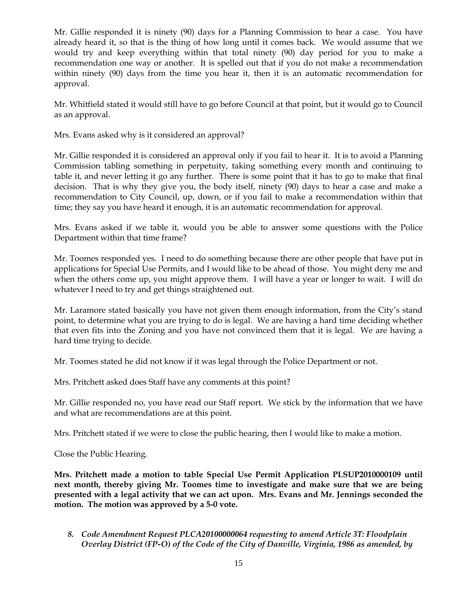Mr. Gillie responded it is ninety (90) days for a Planning Commission to hear a case. You have already heard it, so that is the thing of how long until it comes back. We would assume that we would try and keep everything within that total ninety (90) day period for you to make a recommendation one way or another. It is spelled out that if you do not make a recommendation within ninety (90) days from the time you hear it, then it is an automatic recommendation for approval.

Mr. Whitfield stated it would still have to go before Council at that point, but it would go to Council as an approval.

Mrs. Evans asked why is it considered an approval?

Mr. Gillie responded it is considered an approval only if you fail to hear it. It is to avoid a Planning Commission tabling something in perpetuity, taking something every month and continuing to table it, and never letting it go any further. There is some point that it has to go to make that final decision. That is why they give you, the body itself, ninety (90) days to hear a case and make a recommendation to City Council, up, down, or if you fail to make a recommendation within that time; they say you have heard it enough, it is an automatic recommendation for approval.

Mrs. Evans asked if we table it, would you be able to answer some questions with the Police Department within that time frame?

Mr. Toomes responded yes. I need to do something because there are other people that have put in applications for Special Use Permits, and I would like to be ahead of those. You might deny me and when the others come up, you might approve them. I will have a year or longer to wait. I will do whatever I need to try and get things straightened out.

Mr. Laramore stated basically you have not given them enough information, from the City's stand point, to determine what you are trying to do is legal. We are having a hard time deciding whether that even fits into the Zoning and you have not convinced them that it is legal. We are having a hard time trying to decide.

Mr. Toomes stated he did not know if it was legal through the Police Department or not.

Mrs. Pritchett asked does Staff have any comments at this point?

Mr. Gillie responded no, you have read our Staff report. We stick by the information that we have and what are recommendations are at this point.

Mrs. Pritchett stated if we were to close the public hearing, then I would like to make a motion.

Close the Public Hearing.

**Mrs. Pritchett made a motion to table Special Use Permit Application PLSUP2010000109 until next month, thereby giving Mr. Toomes time to investigate and make sure that we are being presented with a legal activity that we can act upon. Mrs. Evans and Mr. Jennings seconded the motion. The motion was approved by a 5-0 vote.** 

*8. Code Amendment Request PLCA20100000064 requesting to amend Article 3T: Floodplain Overlay District (FP-O) of the Code of the City of Danville, Virginia, 1986 as amended, by*